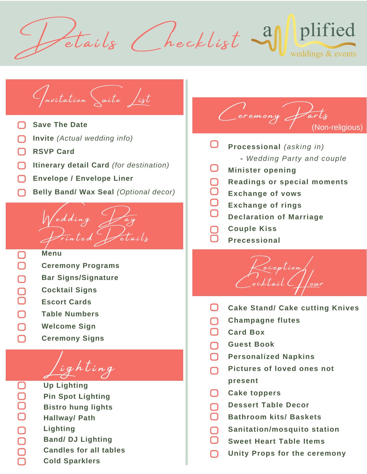plified Stails (hecklist 3) weddings & events



**Cold Sparklers**

**Band/ DJ Lighting**

**Candles for all tables**

**Lighting**

- (Non-religious) $\Box$ **Processional** *(asking in)* **-** *Wedding Party and couple*
- $\Box$ **Minister opening**

Ceremony Ja

- ∩ **Readings or special moments**
- $\Box$ **Exchange of vows**
- **Exchange of rings**
- **Declaration of Marriage**
- **Couple Kiss**
- **Precessional**



- $\Box$ **Cake Stand/ Cake cutting Knives**
- **Champagne flutes** ∩
- ∩ **Card Box**
- **Guest Book** ∩
- ∩ **Personalized Napkins**
- **Pictures of loved ones not** ∩ **present**
- $\Box$ **Cake toppers**
- **Dessert Table Decor** ∩
- ∩ **Bathroom kits/ Baskets**
- **Sanitation/mosquito station**
- **Sweet Heart Table Items**
- **Unity Props for the ceremony**